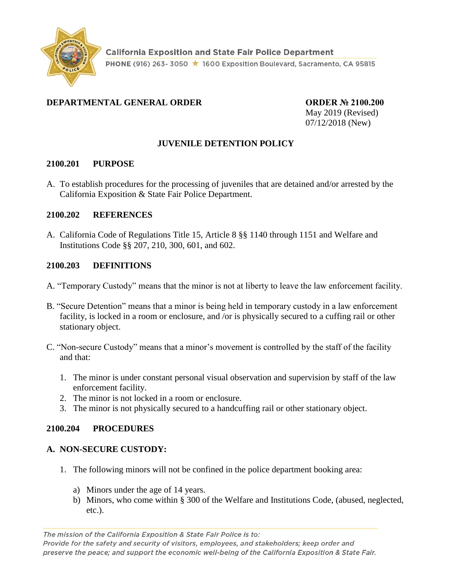

### **DEPARTMENTAL GENERAL ORDER ORDER № 2100.200**

May 2019 (Revised) 07/12/2018 (New)

### **JUVENILE DETENTION POLICY**

#### **2100.201 PURPOSE**

A. To establish procedures for the processing of juveniles that are detained and/or arrested by the California Exposition & State Fair Police Department.

#### **2100.202 REFERENCES**

A. California Code of Regulations Title 15, Article 8 §§ 1140 through 1151 and Welfare and Institutions Code §§ 207, 210, 300, 601, and 602.

#### **2100.203 DEFINITIONS**

- A. "Temporary Custody" means that the minor is not at liberty to leave the law enforcement facility.
- B. "Secure Detention" means that a minor is being held in temporary custody in a law enforcement facility, is locked in a room or enclosure, and /or is physically secured to a cuffing rail or other stationary object.
- C. "Non-secure Custody" means that a minor's movement is controlled by the staff of the facility and that:
	- 1. The minor is under constant personal visual observation and supervision by staff of the law enforcement facility.
	- 2. The minor is not locked in a room or enclosure.
	- 3. The minor is not physically secured to a handcuffing rail or other stationary object.

#### **2100.204 PROCEDURES**

#### **A. NON-SECURE CUSTODY:**

- 1. The following minors will not be confined in the police department booking area:
	- a) Minors under the age of 14 years.
	- b) Minors, who come within § 300 of the Welfare and Institutions Code, (abused, neglected, etc.).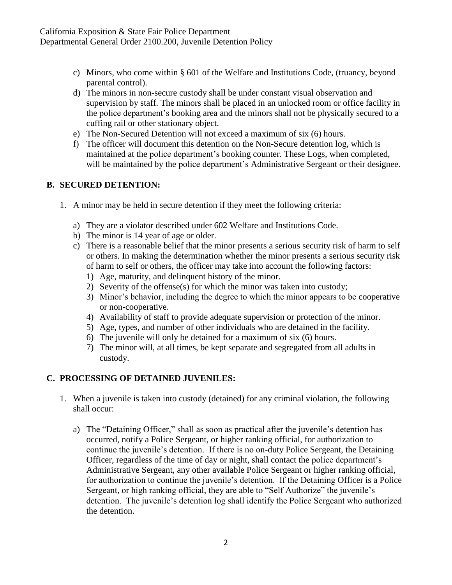- c) Minors, who come within § 601 of the Welfare and Institutions Code, (truancy, beyond parental control).
- d) The minors in non-secure custody shall be under constant visual observation and supervision by staff. The minors shall be placed in an unlocked room or office facility in the police department's booking area and the minors shall not be physically secured to a cuffing rail or other stationary object.
- e) The Non-Secured Detention will not exceed a maximum of six (6) hours.
- f) The officer will document this detention on the Non-Secure detention log, which is maintained at the police department's booking counter. These Logs, when completed, will be maintained by the police department's Administrative Sergeant or their designee.

### **B. SECURED DETENTION:**

- 1. A minor may be held in secure detention if they meet the following criteria:
	- a) They are a violator described under 602 Welfare and Institutions Code.
	- b) The minor is 14 year of age or older.
	- c) There is a reasonable belief that the minor presents a serious security risk of harm to self or others. In making the determination whether the minor presents a serious security risk of harm to self or others, the officer may take into account the following factors:
		- 1) Age, maturity, and delinquent history of the minor.
		- 2) Severity of the offense(s) for which the minor was taken into custody;
		- 3) Minor's behavior, including the degree to which the minor appears to be cooperative or non-cooperative.
		- 4) Availability of staff to provide adequate supervision or protection of the minor.
		- 5) Age, types, and number of other individuals who are detained in the facility.
		- 6) The juvenile will only be detained for a maximum of six (6) hours.
		- 7) The minor will, at all times, be kept separate and segregated from all adults in custody.

# **C. PROCESSING OF DETAINED JUVENILES:**

- 1. When a juvenile is taken into custody (detained) for any criminal violation, the following shall occur:
	- a) The "Detaining Officer," shall as soon as practical after the juvenile's detention has occurred, notify a Police Sergeant, or higher ranking official, for authorization to continue the juvenile's detention. If there is no on-duty Police Sergeant, the Detaining Officer, regardless of the time of day or night, shall contact the police department's Administrative Sergeant, any other available Police Sergeant or higher ranking official, for authorization to continue the juvenile's detention. If the Detaining Officer is a Police Sergeant, or high ranking official, they are able to "Self Authorize" the juvenile's detention. The juvenile's detention log shall identify the Police Sergeant who authorized the detention.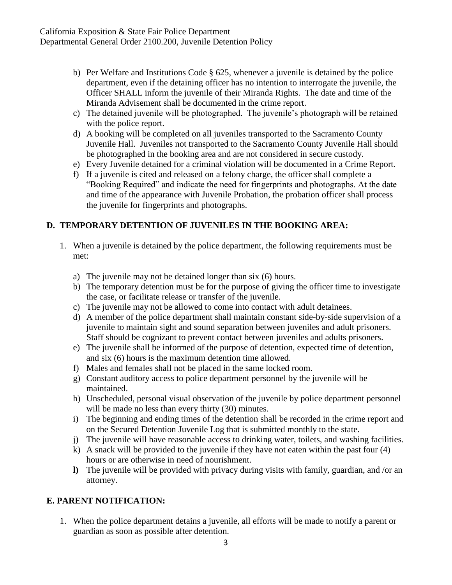- b) Per Welfare and Institutions Code § 625, whenever a juvenile is detained by the police department, even if the detaining officer has no intention to interrogate the juvenile, the Officer SHALL inform the juvenile of their Miranda Rights. The date and time of the Miranda Advisement shall be documented in the crime report.
- c) The detained juvenile will be photographed. The juvenile's photograph will be retained with the police report.
- d) A booking will be completed on all juveniles transported to the Sacramento County Juvenile Hall. Juveniles not transported to the Sacramento County Juvenile Hall should be photographed in the booking area and are not considered in secure custody.
- e) Every Juvenile detained for a criminal violation will be documented in a Crime Report.
- f) If a juvenile is cited and released on a felony charge, the officer shall complete a "Booking Required" and indicate the need for fingerprints and photographs. At the date and time of the appearance with Juvenile Probation, the probation officer shall process the juvenile for fingerprints and photographs.

### **D. TEMPORARY DETENTION OF JUVENILES IN THE BOOKING AREA:**

- 1. When a juvenile is detained by the police department, the following requirements must be met:
	- a) The juvenile may not be detained longer than six (6) hours.
	- b) The temporary detention must be for the purpose of giving the officer time to investigate the case, or facilitate release or transfer of the juvenile.
	- c) The juvenile may not be allowed to come into contact with adult detainees.
	- d) A member of the police department shall maintain constant side-by-side supervision of a juvenile to maintain sight and sound separation between juveniles and adult prisoners. Staff should be cognizant to prevent contact between juveniles and adults prisoners.
	- e) The juvenile shall be informed of the purpose of detention, expected time of detention, and six (6) hours is the maximum detention time allowed.
	- f) Males and females shall not be placed in the same locked room.
	- g) Constant auditory access to police department personnel by the juvenile will be maintained.
	- h) Unscheduled, personal visual observation of the juvenile by police department personnel will be made no less than every thirty (30) minutes.
	- i) The beginning and ending times of the detention shall be recorded in the crime report and on the Secured Detention Juvenile Log that is submitted monthly to the state.
	- j) The juvenile will have reasonable access to drinking water, toilets, and washing facilities.
	- k) A snack will be provided to the juvenile if they have not eaten within the past four (4) hours or are otherwise in need of nourishment.
	- **l)** The juvenile will be provided with privacy during visits with family, guardian, and /or an attorney.

#### **E. PARENT NOTIFICATION:**

1. When the police department detains a juvenile, all efforts will be made to notify a parent or guardian as soon as possible after detention.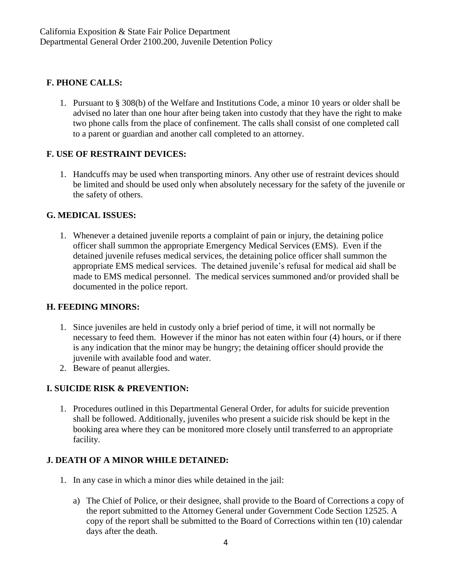### **F. PHONE CALLS:**

1. Pursuant to § 308(b) of the Welfare and Institutions Code, a minor 10 years or older shall be advised no later than one hour after being taken into custody that they have the right to make two phone calls from the place of confinement. The calls shall consist of one completed call to a parent or guardian and another call completed to an attorney.

## **F. USE OF RESTRAINT DEVICES:**

1. Handcuffs may be used when transporting minors. Any other use of restraint devices should be limited and should be used only when absolutely necessary for the safety of the juvenile or the safety of others.

## **G. MEDICAL ISSUES:**

1. Whenever a detained juvenile reports a complaint of pain or injury, the detaining police officer shall summon the appropriate Emergency Medical Services (EMS). Even if the detained juvenile refuses medical services, the detaining police officer shall summon the appropriate EMS medical services. The detained juvenile's refusal for medical aid shall be made to EMS medical personnel. The medical services summoned and/or provided shall be documented in the police report.

### **H. FEEDING MINORS:**

- 1. Since juveniles are held in custody only a brief period of time, it will not normally be necessary to feed them. However if the minor has not eaten within four (4) hours, or if there is any indication that the minor may be hungry; the detaining officer should provide the juvenile with available food and water.
- 2. Beware of peanut allergies.

# **I. SUICIDE RISK & PREVENTION:**

1. Procedures outlined in this Departmental General Order, for adults for suicide prevention shall be followed. Additionally, juveniles who present a suicide risk should be kept in the booking area where they can be monitored more closely until transferred to an appropriate facility.

### **J. DEATH OF A MINOR WHILE DETAINED:**

- 1. In any case in which a minor dies while detained in the jail:
	- a) The Chief of Police, or their designee, shall provide to the Board of Corrections a copy of the report submitted to the Attorney General under Government Code Section 12525. A copy of the report shall be submitted to the Board of Corrections within ten (10) calendar days after the death.